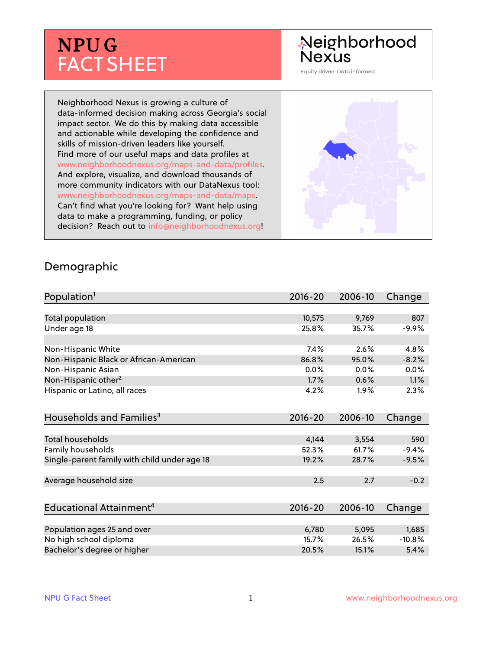# **NPUG** FACT SHEET

## Neighborhood **Nexus**

Equity driven. Data informed.

Neighborhood Nexus is growing a culture of data-informed decision making across Georgia's social impact sector. We do this by making data accessible and actionable while developing the confidence and skills of mission-driven leaders like yourself. Find more of our useful maps and data profiles at www.neighborhoodnexus.org/maps-and-data/profiles. And explore, visualize, and download thousands of more community indicators with our DataNexus tool: www.neighborhoodnexus.org/maps-and-data/maps. Can't find what you're looking for? Want help using data to make a programming, funding, or policy decision? Reach out to [info@neighborhoodnexus.org!](mailto:info@neighborhoodnexus.org)



#### Demographic

| Population <sup>1</sup>                      | $2016 - 20$ | 2006-10 | Change   |
|----------------------------------------------|-------------|---------|----------|
|                                              |             |         |          |
| Total population                             | 10,575      | 9,769   | 807      |
| Under age 18                                 | 25.8%       | 35.7%   | $-9.9%$  |
|                                              |             |         |          |
| Non-Hispanic White                           | 7.4%        | 2.6%    | 4.8%     |
| Non-Hispanic Black or African-American       | 86.8%       | 95.0%   | $-8.2%$  |
| Non-Hispanic Asian                           | 0.0%        | 0.0%    | 0.0%     |
| Non-Hispanic other <sup>2</sup>              | 1.7%        | 0.6%    | 1.1%     |
| Hispanic or Latino, all races                | 4.2%        | 1.9%    | 2.3%     |
|                                              |             |         |          |
| Households and Families <sup>3</sup>         | $2016 - 20$ | 2006-10 | Change   |
|                                              |             |         |          |
| <b>Total households</b>                      | 4,144       | 3,554   | 590      |
| Family households                            | 52.3%       | 61.7%   | $-9.4%$  |
| Single-parent family with child under age 18 | 19.2%       | 28.7%   | $-9.5%$  |
|                                              |             |         |          |
| Average household size                       | 2.5         | 2.7     | $-0.2$   |
|                                              |             |         |          |
| Educational Attainment <sup>4</sup>          | $2016 - 20$ | 2006-10 | Change   |
|                                              |             |         |          |
| Population ages 25 and over                  | 6,780       | 5,095   | 1,685    |
| No high school diploma                       | 15.7%       | 26.5%   | $-10.8%$ |
| Bachelor's degree or higher                  | 20.5%       | 15.1%   | 5.4%     |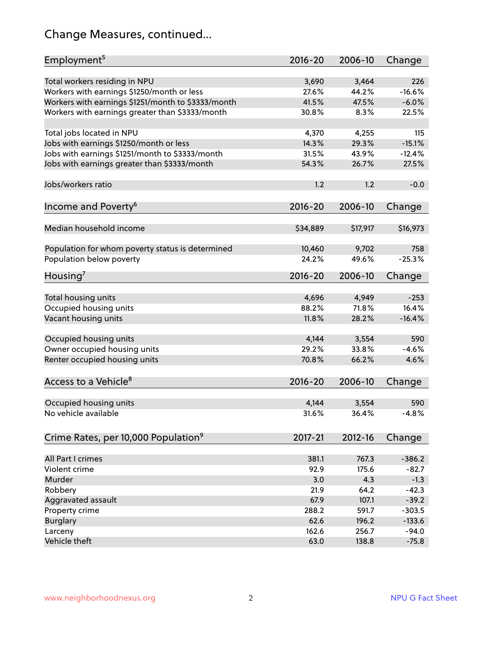## Change Measures, continued...

| Employment <sup>5</sup>                            | $2016 - 20$ | 2006-10  | Change   |
|----------------------------------------------------|-------------|----------|----------|
|                                                    |             |          |          |
| Total workers residing in NPU                      | 3,690       | 3,464    | 226      |
| Workers with earnings \$1250/month or less         | 27.6%       | 44.2%    | $-16.6%$ |
| Workers with earnings \$1251/month to \$3333/month | 41.5%       | 47.5%    | $-6.0%$  |
| Workers with earnings greater than \$3333/month    | 30.8%       | 8.3%     | 22.5%    |
| Total jobs located in NPU                          | 4,370       | 4,255    | 115      |
| Jobs with earnings \$1250/month or less            | 14.3%       | 29.3%    | $-15.1%$ |
| Jobs with earnings \$1251/month to \$3333/month    | 31.5%       | 43.9%    | $-12.4%$ |
| Jobs with earnings greater than \$3333/month       | 54.3%       | 26.7%    | 27.5%    |
|                                                    |             |          |          |
| Jobs/workers ratio                                 | 1.2         | 1.2      | $-0.0$   |
|                                                    | $2016 - 20$ | 2006-10  | Change   |
| Income and Poverty <sup>6</sup>                    |             |          |          |
| Median household income                            | \$34,889    | \$17,917 | \$16,973 |
|                                                    |             |          |          |
| Population for whom poverty status is determined   | 10,460      | 9,702    | 758      |
| Population below poverty                           | 24.2%       | 49.6%    | $-25.3%$ |
| Housing <sup>7</sup>                               | 2016-20     | 2006-10  | Change   |
|                                                    |             |          |          |
| Total housing units                                | 4,696       | 4,949    | $-253$   |
| Occupied housing units                             | 88.2%       | 71.8%    | 16.4%    |
| Vacant housing units                               | 11.8%       | 28.2%    | $-16.4%$ |
| Occupied housing units                             | 4,144       | 3,554    | 590      |
|                                                    | 29.2%       | 33.8%    | $-4.6%$  |
| Owner occupied housing units                       |             |          |          |
| Renter occupied housing units                      | 70.8%       | 66.2%    | 4.6%     |
| Access to a Vehicle <sup>8</sup>                   | $2016 - 20$ | 2006-10  | Change   |
|                                                    |             |          |          |
| Occupied housing units                             | 4,144       | 3,554    | 590      |
| No vehicle available                               | 31.6%       | 36.4%    | $-4.8%$  |
|                                                    |             |          |          |
| Crime Rates, per 10,000 Population <sup>9</sup>    | 2017-21     | 2012-16  | Change   |
|                                                    |             |          |          |
| All Part I crimes                                  | 381.1       | 767.3    | $-386.2$ |
| Violent crime                                      | 92.9        | 175.6    | $-82.7$  |
| Murder                                             | 3.0         | 4.3      | $-1.3$   |
| Robbery                                            | 21.9        | 64.2     | $-42.3$  |
| Aggravated assault                                 | 67.9        | 107.1    | $-39.2$  |
| Property crime                                     | 288.2       | 591.7    | $-303.5$ |
| <b>Burglary</b>                                    | 62.6        | 196.2    | $-133.6$ |
| Larceny                                            | 162.6       | 256.7    | $-94.0$  |
| Vehicle theft                                      | 63.0        | 138.8    | $-75.8$  |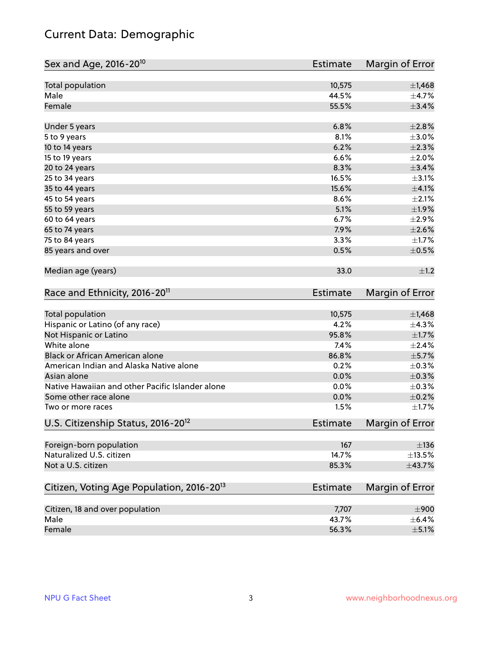## Current Data: Demographic

| Sex and Age, 2016-20 <sup>10</sup>                    | Estimate        | Margin of Error |
|-------------------------------------------------------|-----------------|-----------------|
| Total population                                      | 10,575          | $\pm$ 1,468     |
| Male                                                  | 44.5%           | $\pm$ 4.7%      |
| Female                                                | 55.5%           | ±3.4%           |
| Under 5 years                                         | 6.8%            | $\pm 2.8\%$     |
| 5 to 9 years                                          | 8.1%            | $\pm 3.0\%$     |
| 10 to 14 years                                        | 6.2%            | $\pm 2.3\%$     |
| 15 to 19 years                                        | 6.6%            | $\pm 2.0\%$     |
| 20 to 24 years                                        | 8.3%            | ±3.4%           |
| 25 to 34 years                                        | 16.5%           | $\pm$ 3.1%      |
| 35 to 44 years                                        | 15.6%           | $\pm$ 4.1%      |
| 45 to 54 years                                        | 8.6%            | $\pm 2.1\%$     |
| 55 to 59 years                                        | 5.1%            | $\pm 1.9\%$     |
| 60 to 64 years                                        | 6.7%            | $\pm 2.9\%$     |
| 65 to 74 years                                        | 7.9%            | $\pm 2.6\%$     |
| 75 to 84 years                                        | 3.3%            | $\pm 1.7\%$     |
| 85 years and over                                     | 0.5%            | $\pm$ 0.5%      |
| Median age (years)                                    | 33.0            | $\pm 1.2$       |
| Race and Ethnicity, 2016-20 <sup>11</sup>             | <b>Estimate</b> | Margin of Error |
| Total population                                      | 10,575          | $\pm$ 1,468     |
| Hispanic or Latino (of any race)                      | 4.2%            | $\pm$ 4.3%      |
| Not Hispanic or Latino                                | 95.8%           | $\pm 1.7\%$     |
| White alone                                           | 7.4%            | ±2.4%           |
| Black or African American alone                       | 86.8%           | $\pm$ 5.7%      |
| American Indian and Alaska Native alone               | 0.2%            | $\pm$ 0.3%      |
| Asian alone                                           | 0.0%            | $\pm$ 0.3%      |
| Native Hawaiian and other Pacific Islander alone      | 0.0%            | $\pm$ 0.3%      |
| Some other race alone                                 | 0.0%            | $\pm$ 0.2%      |
| Two or more races                                     | 1.5%            | $\pm 1.7\%$     |
| U.S. Citizenship Status, 2016-20 <sup>12</sup>        | Estimate        | Margin of Error |
| Foreign-born population                               | 167             | $\pm$ 136       |
| Naturalized U.S. citizen                              | 14.7%           | ±13.5%          |
| Not a U.S. citizen                                    | 85.3%           | ±43.7%          |
| Citizen, Voting Age Population, 2016-20 <sup>13</sup> | <b>Estimate</b> | Margin of Error |
| Citizen, 18 and over population                       | 7,707           | $\pm 900$       |
| Male                                                  | 43.7%           | $\pm$ 6.4%      |
| Female                                                | 56.3%           | $\pm$ 5.1%      |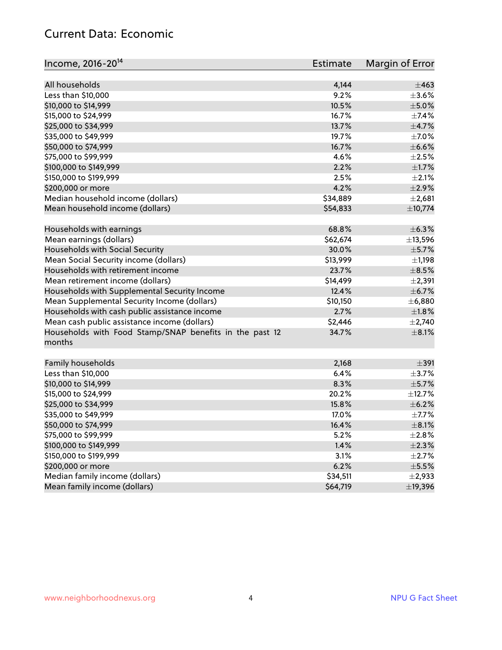#### Current Data: Economic

| Income, 2016-20 <sup>14</sup><br>Estimate                                  | Margin of Error |
|----------------------------------------------------------------------------|-----------------|
| All households<br>4,144                                                    | ±463            |
| Less than \$10,000<br>9.2%                                                 | $\pm 3.6\%$     |
| 10.5%<br>\$10,000 to \$14,999                                              | $\pm$ 5.0%      |
| \$15,000 to \$24,999<br>16.7%                                              | $\pm$ 7.4%      |
| 13.7%<br>\$25,000 to \$34,999                                              | $\pm$ 4.7%      |
| \$35,000 to \$49,999<br>19.7%                                              | $\pm$ 7.0%      |
| \$50,000 to \$74,999<br>16.7%                                              | $\pm$ 6.6%      |
| \$75,000 to \$99,999<br>4.6%                                               | $\pm 2.5\%$     |
| 2.2%<br>\$100,000 to \$149,999                                             | $\pm 1.7\%$     |
| 2.5%<br>\$150,000 to \$199,999                                             | $\pm 2.1\%$     |
| 4.2%<br>\$200,000 or more                                                  | $\pm 2.9\%$     |
| Median household income (dollars)<br>\$34,889                              | $\pm 2,681$     |
|                                                                            |                 |
| Mean household income (dollars)<br>\$54,833                                | ±10,774         |
| Households with earnings<br>68.8%                                          | $\pm$ 6.3%      |
| Mean earnings (dollars)<br>\$62,674                                        | ±13,596         |
| Households with Social Security<br>30.0%                                   | $\pm$ 5.7%      |
| Mean Social Security income (dollars)<br>\$13,999                          | ±1,198          |
| Households with retirement income<br>23.7%                                 | $\pm$ 8.5%      |
| Mean retirement income (dollars)<br>\$14,499                               | $\pm 2,391$     |
| Households with Supplemental Security Income<br>12.4%                      | $\pm$ 6.7%      |
| Mean Supplemental Security Income (dollars)<br>\$10,150                    | ± 6,880         |
| Households with cash public assistance income<br>2.7%                      | $\pm1.8\%$      |
| Mean cash public assistance income (dollars)<br>\$2,446                    | $\pm 2,740$     |
| Households with Food Stamp/SNAP benefits in the past 12<br>34.7%<br>months | $\pm$ 8.1%      |
| Family households<br>2,168                                                 | $\pm$ 391       |
| Less than \$10,000<br>6.4%                                                 | $\pm$ 3.7%      |
| 8.3%<br>\$10,000 to \$14,999                                               | ±5.7%           |
| \$15,000 to \$24,999<br>20.2%                                              | ±12.7%          |
| \$25,000 to \$34,999<br>15.8%                                              | $\pm$ 6.2%      |
| \$35,000 to \$49,999<br>17.0%                                              | $\pm$ 7.7%      |
| \$50,000 to \$74,999<br>16.4%                                              | $\pm$ 8.1%      |
| \$75,000 to \$99,999<br>5.2%                                               | $\pm 2.8\%$     |
| \$100,000 to \$149,999<br>1.4%                                             | ±2.3%           |
| \$150,000 to \$199,999<br>3.1%                                             | $\pm 2.7\%$     |
| 6.2%<br>\$200,000 or more                                                  | $\pm$ 5.5%      |
| Median family income (dollars)<br>\$34,511                                 | $\pm$ 2,933     |
| Mean family income (dollars)<br>\$64,719                                   | ±19,396         |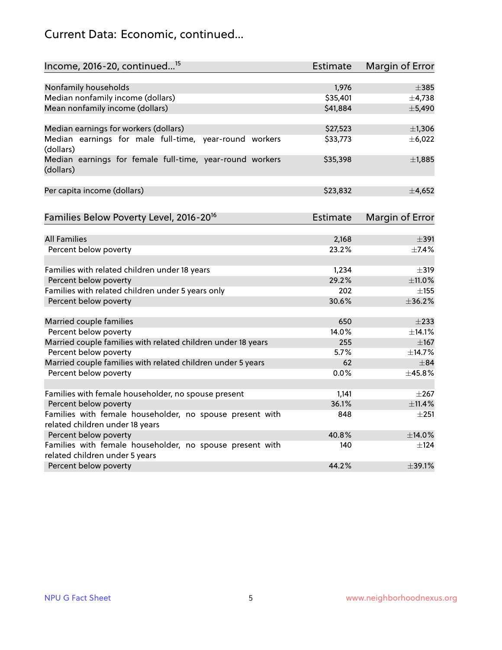## Current Data: Economic, continued...

| Income, 2016-20, continued <sup>15</sup>                                              | <b>Estimate</b> | <b>Margin of Error</b> |
|---------------------------------------------------------------------------------------|-----------------|------------------------|
|                                                                                       |                 |                        |
| Nonfamily households                                                                  | 1,976           | $\pm$ 385              |
| Median nonfamily income (dollars)                                                     | \$35,401        | $\pm$ 4,738            |
| Mean nonfamily income (dollars)                                                       | \$41,884        | ±5,490                 |
| Median earnings for workers (dollars)                                                 | \$27,523        | $\pm$ 1,306            |
| Median earnings for male full-time, year-round workers<br>(dollars)                   | \$33,773        | ±6,022                 |
| Median earnings for female full-time, year-round workers<br>(dollars)                 | \$35,398        | ±1,885                 |
| Per capita income (dollars)                                                           | \$23,832        | ±4,652                 |
| Families Below Poverty Level, 2016-20 <sup>16</sup>                                   | <b>Estimate</b> | <b>Margin of Error</b> |
|                                                                                       |                 |                        |
| <b>All Families</b>                                                                   | 2,168           | $\pm$ 391              |
| Percent below poverty                                                                 | 23.2%           | ±7.4%                  |
| Families with related children under 18 years                                         | 1,234           | $\pm$ 319              |
| Percent below poverty                                                                 | 29.2%           | ±11.0%                 |
| Families with related children under 5 years only                                     | 202             | $\pm$ 155              |
| Percent below poverty                                                                 | 30.6%           | ±36.2%                 |
|                                                                                       | 650             |                        |
| Married couple families                                                               | 14.0%           | $\pm 233$              |
| Percent below poverty                                                                 | 255             | ±14.1%                 |
| Married couple families with related children under 18 years<br>Percent below poverty | 5.7%            | $\pm 167$<br>±14.7%    |
| Married couple families with related children under 5 years                           | 62              | $\pm$ 84               |
| Percent below poverty                                                                 | $0.0\%$         | ±45.8%                 |
|                                                                                       |                 |                        |
| Families with female householder, no spouse present                                   | 1,141           | $\pm 267$              |
| Percent below poverty                                                                 | 36.1%           | ±11.4%                 |
| Families with female householder, no spouse present with                              | 848             | $\pm 251$              |
| related children under 18 years                                                       |                 |                        |
| Percent below poverty                                                                 | 40.8%           | ±14.0%                 |
| Families with female householder, no spouse present with                              | 140             | $\pm$ 124              |
| related children under 5 years                                                        |                 |                        |
| Percent below poverty                                                                 | 44.2%           | ±39.1%                 |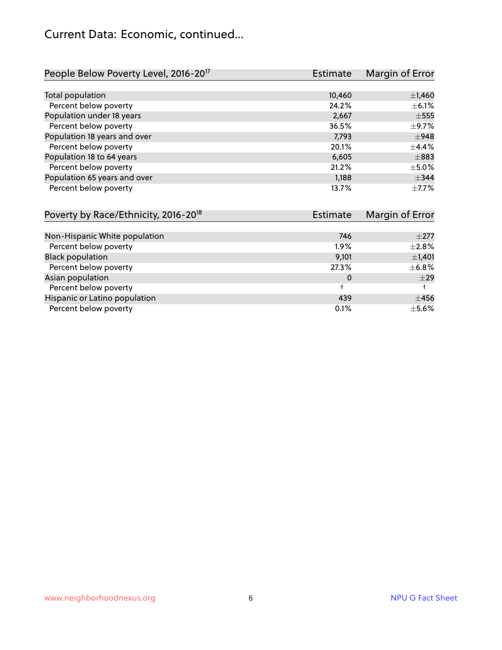#### Current Data: Economic, continued...

| People Below Poverty Level, 2016-20 <sup>17</sup> | <b>Estimate</b> | Margin of Error |
|---------------------------------------------------|-----------------|-----------------|
|                                                   |                 |                 |
| Total population                                  | 10,460          | $\pm$ 1,460     |
| Percent below poverty                             | 24.2%           | $\pm$ 6.1%      |
| Population under 18 years                         | 2,667           | $\pm$ 555       |
| Percent below poverty                             | 36.5%           | $\pm$ 9.7%      |
| Population 18 years and over                      | 7,793           | $\pm$ 948       |
| Percent below poverty                             | 20.1%           | $+4.4%$         |
| Population 18 to 64 years                         | 6,605           | $\pm$ 883       |
| Percent below poverty                             | 21.2%           | $\pm$ 5.0%      |
| Population 65 years and over                      | 1,188           | $\pm$ 344       |
| Percent below poverty                             | 13.7%           | $+7.7%$         |

| Poverty by Race/Ethnicity, 2016-20 <sup>18</sup> | <b>Estimate</b> | Margin of Error |
|--------------------------------------------------|-----------------|-----------------|
|                                                  |                 |                 |
| Non-Hispanic White population                    | 746             | $\pm 277$       |
| Percent below poverty                            | $1.9\%$         | $\pm 2.8\%$     |
| <b>Black population</b>                          | 9,101           | $\pm$ 1,401     |
| Percent below poverty                            | 27.3%           | $\pm$ 6.8%      |
| Asian population                                 | 0               | $\pm$ 29        |
| Percent below poverty                            |                 |                 |
| Hispanic or Latino population                    | 439             | $\pm 456$       |
| Percent below poverty                            | 0.1%            | $\pm$ 5.6%      |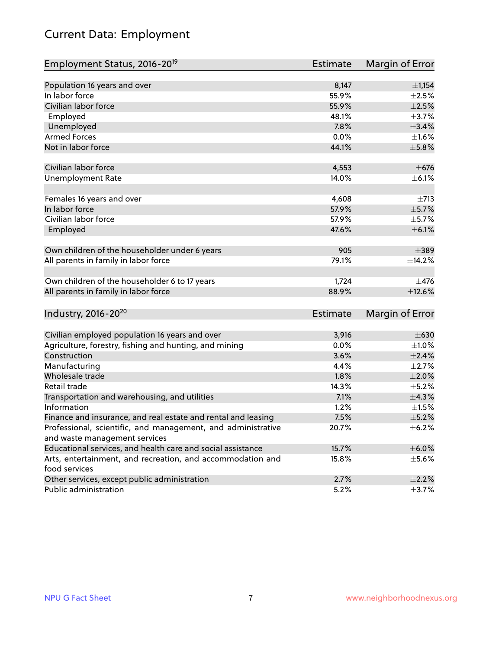## Current Data: Employment

| Employment Status, 2016-20 <sup>19</sup>                      | Estimate        | Margin of Error |
|---------------------------------------------------------------|-----------------|-----------------|
|                                                               |                 |                 |
| Population 16 years and over                                  | 8,147           | $\pm$ 1,154     |
| In labor force                                                | 55.9%           | $\pm 2.5\%$     |
| Civilian labor force                                          | 55.9%           | $\pm 2.5\%$     |
| Employed                                                      | 48.1%           | $\pm$ 3.7%      |
| Unemployed                                                    | 7.8%            | $\pm$ 3.4%      |
| <b>Armed Forces</b>                                           | 0.0%            | $\pm 1.6\%$     |
| Not in labor force                                            | 44.1%           | $\pm$ 5.8%      |
|                                                               |                 |                 |
| Civilian labor force                                          | 4,553           | $\pm$ 676       |
| <b>Unemployment Rate</b>                                      | 14.0%           | $\pm$ 6.1%      |
|                                                               |                 |                 |
| Females 16 years and over                                     | 4,608           | $\pm 713$       |
| In labor force                                                | 57.9%           | $\pm$ 5.7%      |
| Civilian labor force                                          | 57.9%           | $\pm$ 5.7%      |
| Employed                                                      | 47.6%           | $\pm$ 6.1%      |
|                                                               |                 |                 |
| Own children of the householder under 6 years                 | 905             | $\pm$ 389       |
| All parents in family in labor force                          | 79.1%           | ±14.2%          |
|                                                               |                 |                 |
| Own children of the householder 6 to 17 years                 | 1,724           | $\pm$ 476       |
| All parents in family in labor force                          | 88.9%           | ±12.6%          |
|                                                               |                 |                 |
| Industry, 2016-20 <sup>20</sup>                               | <b>Estimate</b> | Margin of Error |
|                                                               |                 |                 |
| Civilian employed population 16 years and over                | 3,916           | $\pm 630$       |
| Agriculture, forestry, fishing and hunting, and mining        | 0.0%            | $\pm 1.0\%$     |
| Construction                                                  | 3.6%            | ±2.4%           |
| Manufacturing                                                 | 4.4%            | $\pm 2.7\%$     |
| Wholesale trade                                               | 1.8%            | $\pm 2.0\%$     |
| Retail trade                                                  | 14.3%           | $\pm$ 5.2%      |
| Transportation and warehousing, and utilities                 | 7.1%            | ±4.3%           |
| Information                                                   | 1.2%            | $\pm 1.5\%$     |
| Finance and insurance, and real estate and rental and leasing | 7.5%            | $\pm$ 5.2%      |
| Professional, scientific, and management, and administrative  | 20.7%           | $\pm$ 6.2%      |
| and waste management services                                 |                 |                 |
| Educational services, and health care and social assistance   | 15.7%           | $\pm$ 6.0%      |
| Arts, entertainment, and recreation, and accommodation and    | 15.8%           | $\pm$ 5.6%      |
| food services                                                 |                 |                 |
| Other services, except public administration                  | 2.7%            | $\pm 2.2\%$     |
| Public administration                                         | 5.2%            | $\pm$ 3.7%      |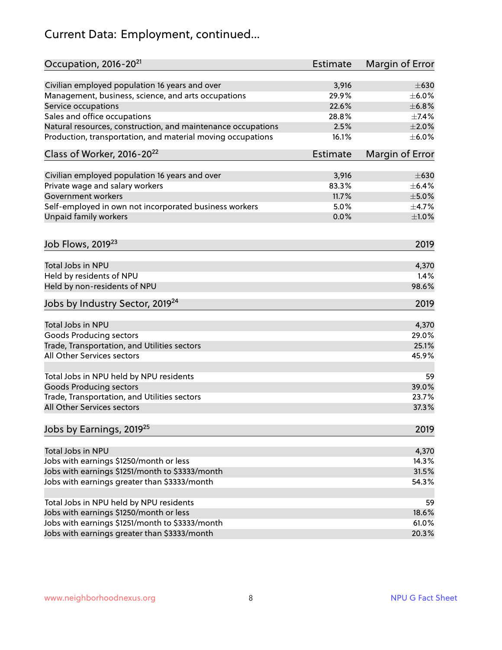## Current Data: Employment, continued...

| Occupation, 2016-20 <sup>21</sup>                                                          | <b>Estimate</b> | Margin of Error |
|--------------------------------------------------------------------------------------------|-----------------|-----------------|
| Civilian employed population 16 years and over                                             | 3,916           | $\pm 630$       |
| Management, business, science, and arts occupations                                        | 29.9%           | $\pm$ 6.0%      |
| Service occupations                                                                        | 22.6%           | ±6.8%           |
| Sales and office occupations                                                               | 28.8%           | ±7.4%           |
| Natural resources, construction, and maintenance occupations                               | 2.5%            | $\pm 2.0\%$     |
| Production, transportation, and material moving occupations                                | 16.1%           | $\pm$ 6.0%      |
| Class of Worker, 2016-20 <sup>22</sup>                                                     | <b>Estimate</b> | Margin of Error |
| Civilian employed population 16 years and over                                             | 3,916           | $\pm 630$       |
| Private wage and salary workers                                                            | 83.3%           | $\pm$ 6.4%      |
| <b>Government workers</b>                                                                  | 11.7%           | $\pm$ 5.0%      |
|                                                                                            | 5.0%            | $\pm$ 4.7%      |
| Self-employed in own not incorporated business workers                                     |                 |                 |
| Unpaid family workers                                                                      | 0.0%            | $\pm 1.0\%$     |
| Job Flows, 2019 <sup>23</sup>                                                              |                 | 2019            |
| Total Jobs in NPU                                                                          |                 | 4,370           |
| Held by residents of NPU                                                                   |                 | 1.4%            |
| Held by non-residents of NPU                                                               |                 | 98.6%           |
| Jobs by Industry Sector, 2019 <sup>24</sup>                                                |                 | 2019            |
| Total Jobs in NPU                                                                          |                 | 4,370           |
| <b>Goods Producing sectors</b>                                                             |                 | 29.0%           |
| Trade, Transportation, and Utilities sectors                                               |                 | 25.1%           |
| All Other Services sectors                                                                 |                 | 45.9%           |
|                                                                                            |                 |                 |
| Total Jobs in NPU held by NPU residents                                                    |                 | 59              |
| <b>Goods Producing sectors</b>                                                             |                 | 39.0%           |
| Trade, Transportation, and Utilities sectors                                               |                 | 23.7%           |
| All Other Services sectors                                                                 |                 | 37.3%           |
| Jobs by Earnings, 2019 <sup>25</sup>                                                       |                 | 2019            |
| Total Jobs in NPU                                                                          |                 | 4,370           |
|                                                                                            |                 | 14.3%           |
| Jobs with earnings \$1250/month or less<br>Jobs with earnings \$1251/month to \$3333/month |                 | 31.5%           |
|                                                                                            |                 |                 |
| Jobs with earnings greater than \$3333/month                                               |                 | 54.3%           |
| Total Jobs in NPU held by NPU residents                                                    |                 | 59              |
| Jobs with earnings \$1250/month or less                                                    |                 | 18.6%           |
| Jobs with earnings \$1251/month to \$3333/month                                            |                 | 61.0%           |
| Jobs with earnings greater than \$3333/month                                               |                 | 20.3%           |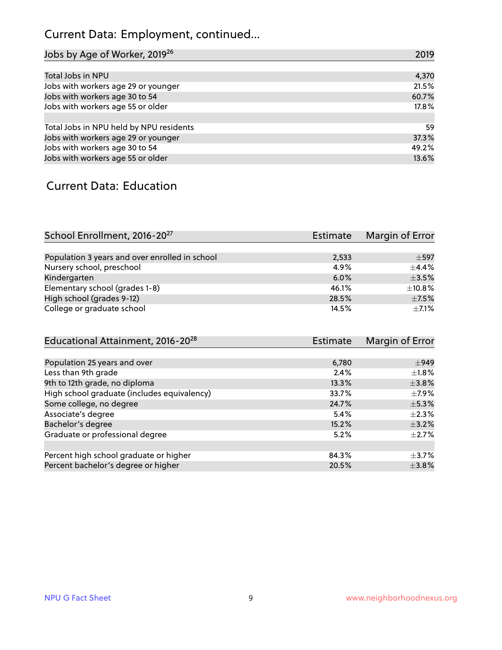## Current Data: Employment, continued...

| Jobs by Age of Worker, 2019 <sup>26</sup> | 2019  |
|-------------------------------------------|-------|
|                                           |       |
| Total Jobs in NPU                         | 4,370 |
| Jobs with workers age 29 or younger       | 21.5% |
| Jobs with workers age 30 to 54            | 60.7% |
| Jobs with workers age 55 or older         | 17.8% |
|                                           |       |
| Total Jobs in NPU held by NPU residents   | 59    |
| Jobs with workers age 29 or younger       | 37.3% |
| Jobs with workers age 30 to 54            | 49.2% |
| Jobs with workers age 55 or older         | 13.6% |

#### Current Data: Education

| School Enrollment, 2016-20 <sup>27</sup>       | Estimate | Margin of Error |
|------------------------------------------------|----------|-----------------|
|                                                |          |                 |
| Population 3 years and over enrolled in school | 2,533    | $+597$          |
| Nursery school, preschool                      | 4.9%     | $\pm$ 4.4%      |
| Kindergarten                                   | 6.0%     | $\pm$ 3.5%      |
| Elementary school (grades 1-8)                 | 46.1%    | $\pm$ 10.8%     |
| High school (grades 9-12)                      | 28.5%    | $\pm$ 7.5%      |
| College or graduate school                     | 14.5%    | $\pm$ 7.1%      |

| Educational Attainment, 2016-20 <sup>28</sup> | Estimate | Margin of Error |
|-----------------------------------------------|----------|-----------------|
|                                               |          |                 |
| Population 25 years and over                  | 6,780    | $\pm$ 949       |
| Less than 9th grade                           | 2.4%     | $\pm 1.8\%$     |
| 9th to 12th grade, no diploma                 | 13.3%    | $\pm$ 3.8%      |
| High school graduate (includes equivalency)   | 33.7%    | $\pm$ 7.9%      |
| Some college, no degree                       | 24.7%    | $\pm$ 5.3%      |
| Associate's degree                            | 5.4%     | $\pm 2.3\%$     |
| Bachelor's degree                             | 15.2%    | $\pm$ 3.2%      |
| Graduate or professional degree               | 5.2%     | $\pm$ 2.7%      |
|                                               |          |                 |
| Percent high school graduate or higher        | 84.3%    | $\pm$ 3.7%      |
| Percent bachelor's degree or higher           | 20.5%    | $\pm$ 3.8%      |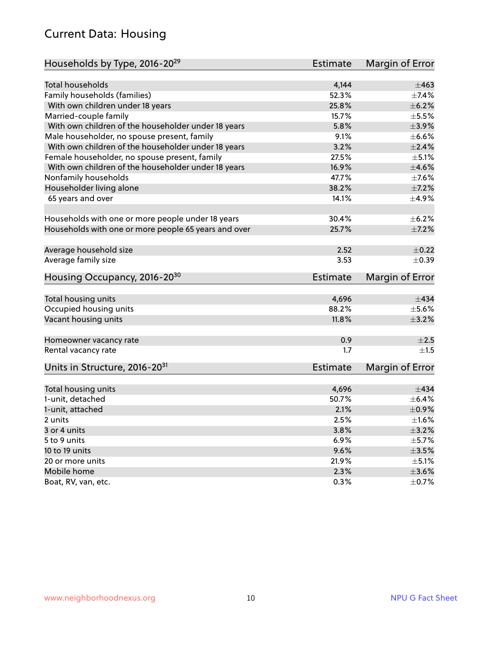#### Current Data: Housing

| Households by Type, 2016-20 <sup>29</sup>            | <b>Estimate</b> | Margin of Error     |
|------------------------------------------------------|-----------------|---------------------|
| <b>Total households</b>                              | 4,144           | $\pm 463$           |
|                                                      |                 |                     |
| Family households (families)                         | 52.3%<br>25.8%  | $\pm$ 7.4%<br>±6.2% |
| With own children under 18 years                     |                 |                     |
| Married-couple family                                | 15.7%           | $\pm$ 5.5 $\!\%$    |
| With own children of the householder under 18 years  | 5.8%            | $\pm$ 3.9%          |
| Male householder, no spouse present, family          | 9.1%            | $\pm$ 6.6%          |
| With own children of the householder under 18 years  | 3.2%            | $\pm 2.4\%$         |
| Female householder, no spouse present, family        | 27.5%           | $\pm$ 5.1%          |
| With own children of the householder under 18 years  | 16.9%           | $\pm 4.6\%$         |
| Nonfamily households                                 | 47.7%           | $\pm$ 7.6%          |
| Householder living alone                             | 38.2%           | $\pm$ 7.2%          |
| 65 years and over                                    | 14.1%           | $\pm$ 4.9%          |
| Households with one or more people under 18 years    | 30.4%           | $\pm$ 6.2%          |
| Households with one or more people 65 years and over | 25.7%           | $\pm$ 7.2%          |
|                                                      |                 |                     |
| Average household size                               | 2.52            | $\pm$ 0.22          |
| Average family size                                  | 3.53            | $\pm$ 0.39          |
| Housing Occupancy, 2016-20 <sup>30</sup>             | <b>Estimate</b> | Margin of Error     |
| Total housing units                                  | 4,696           | $\pm$ 434           |
| Occupied housing units                               | 88.2%           | $\pm$ 5.6%          |
| Vacant housing units                                 | 11.8%           | $\pm$ 3.2%          |
|                                                      |                 |                     |
| Homeowner vacancy rate                               | 0.9             | ±2.5                |
| Rental vacancy rate                                  | 1.7             | ±1.5                |
| Units in Structure, 2016-20 <sup>31</sup>            | Estimate        | Margin of Error     |
| Total housing units                                  | 4,696           | $+434$              |
| 1-unit, detached                                     | 50.7%           | $\pm$ 6.4%          |
| 1-unit, attached                                     | 2.1%            | $\pm$ 0.9%          |
| 2 units                                              | 2.5%            | ±1.6%               |
| 3 or 4 units                                         | 3.8%            | $\pm$ 3.2%          |
| 5 to 9 units                                         | 6.9%            | $\pm$ 5.7%          |
| 10 to 19 units                                       | 9.6%            | $\pm 3.5\%$         |
|                                                      |                 | $\pm$ 5.1%          |
| 20 or more units                                     | 21.9%           |                     |
| Mobile home                                          | 2.3%            | $\pm 3.6\%$         |
| Boat, RV, van, etc.                                  | 0.3%            | $\pm$ 0.7%          |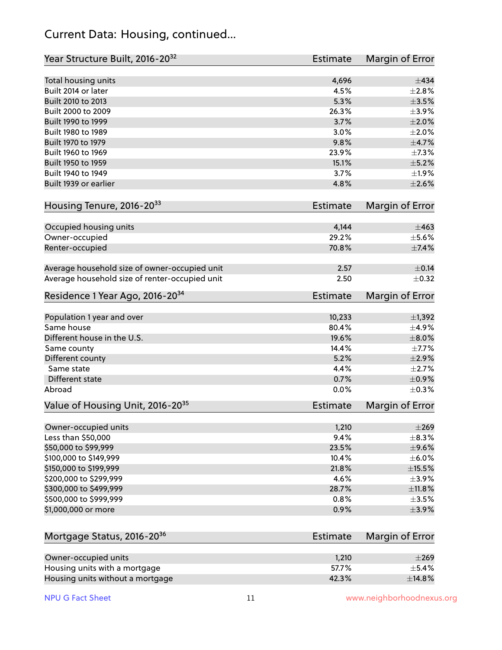#### Current Data: Housing, continued...

| Year Structure Built, 2016-20 <sup>32</sup>    | Estimate        | <b>Margin of Error</b> |
|------------------------------------------------|-----------------|------------------------|
| Total housing units                            | 4,696           | $\pm$ 434              |
| Built 2014 or later                            | 4.5%            | $\pm 2.8\%$            |
| Built 2010 to 2013                             | 5.3%            | $\pm 3.5\%$            |
| Built 2000 to 2009                             | 26.3%           | $\pm$ 3.9%             |
| Built 1990 to 1999                             | 3.7%            | $\pm 2.0\%$            |
| Built 1980 to 1989                             | 3.0%            | $\pm 2.0\%$            |
| Built 1970 to 1979                             | 9.8%            | $\pm$ 4.7%             |
| Built 1960 to 1969                             | 23.9%           | ±7.3%                  |
| Built 1950 to 1959                             | 15.1%           | $\pm$ 5.2%             |
| Built 1940 to 1949                             | 3.7%            | $\pm$ 1.9%             |
| Built 1939 or earlier                          | 4.8%            | $\pm 2.6\%$            |
| Housing Tenure, 2016-2033                      | Estimate        | Margin of Error        |
| Occupied housing units                         | 4,144           | $\pm 463$              |
| Owner-occupied                                 | 29.2%           | $\pm$ 5.6%             |
| Renter-occupied                                | 70.8%           | ±7.4%                  |
| Average household size of owner-occupied unit  | 2.57            | $\pm$ 0.14             |
| Average household size of renter-occupied unit | 2.50            | $\pm$ 0.32             |
| Residence 1 Year Ago, 2016-20 <sup>34</sup>    | <b>Estimate</b> | <b>Margin of Error</b> |
| Population 1 year and over                     | 10,233          | $\pm$ 1,392            |
| Same house                                     | 80.4%           | $\pm$ 4.9%             |
| Different house in the U.S.                    | 19.6%           | $\pm 8.0\%$            |
| Same county                                    | 14.4%           | $\pm$ 7.7%             |
| Different county                               | 5.2%            | $\pm 2.9\%$            |
| Same state                                     | 4.4%            | $\pm 2.7\%$            |
| Different state                                | 0.7%            | $\pm$ 0.9%             |
| Abroad                                         | 0.0%            | $\pm$ 0.3%             |
| Value of Housing Unit, 2016-20 <sup>35</sup>   | <b>Estimate</b> | Margin of Error        |
| Owner-occupied units                           | 1,210           | $\pm 269$              |
| Less than \$50,000                             | 9.4%            | $\pm$ 8.3%             |
| \$50,000 to \$99,999                           | 23.5%           | $\pm$ 9.6%             |
| \$100,000 to \$149,999                         | 10.4%           | $\pm$ 6.0%             |
| \$150,000 to \$199,999                         | 21.8%           | $\pm$ 15.5%            |
| \$200,000 to \$299,999                         | 4.6%            | $\pm$ 3.9%             |
| \$300,000 to \$499,999                         | 28.7%           | ±11.8%                 |
| \$500,000 to \$999,999                         | 0.8%            | $\pm$ 3.5%             |
| \$1,000,000 or more                            | 0.9%            | $\pm$ 3.9%             |
| Mortgage Status, 2016-20 <sup>36</sup>         | Estimate        | Margin of Error        |
| Owner-occupied units                           | 1,210           | $\pm 269$              |
| Housing units with a mortgage                  | 57.7%           | $\pm$ 5.4%             |

Housing units without a mortgage  $\pm 14.8\%$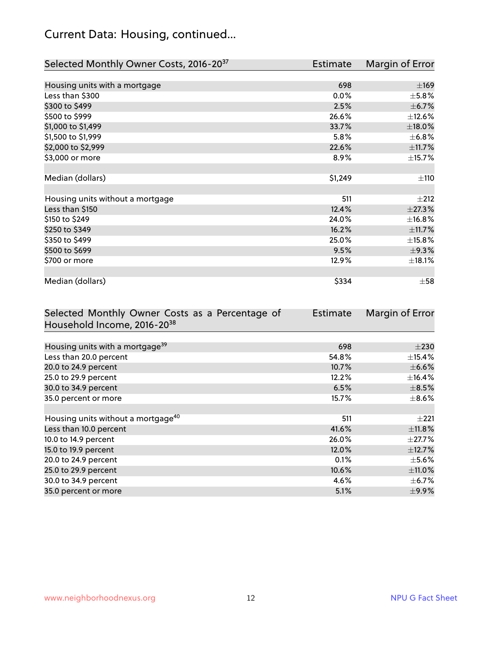## Current Data: Housing, continued...

| Selected Monthly Owner Costs, 2016-20 <sup>37</sup> | Estimate | Margin of Error |
|-----------------------------------------------------|----------|-----------------|
|                                                     |          |                 |
| Housing units with a mortgage                       | 698      | $\pm 169$       |
| Less than \$300                                     | 0.0%     | $\pm$ 5.8%      |
| \$300 to \$499                                      | 2.5%     | $\pm$ 6.7%      |
| \$500 to \$999                                      | 26.6%    | $\pm$ 12.6%     |
| \$1,000 to \$1,499                                  | 33.7%    | $\pm$ 18.0%     |
| \$1,500 to \$1,999                                  | 5.8%     | $\pm$ 6.8%      |
| \$2,000 to \$2,999                                  | 22.6%    | ±11.7%          |
| \$3,000 or more                                     | 8.9%     | ±15.7%          |
|                                                     |          |                 |
| Median (dollars)                                    | \$1,249  | ±110            |
|                                                     |          |                 |
| Housing units without a mortgage                    | 511      | $\pm 212$       |
| Less than \$150                                     | 12.4%    | ±27.3%          |
| \$150 to \$249                                      | 24.0%    | ±16.8%          |
| \$250 to \$349                                      | 16.2%    | ±11.7%          |
| \$350 to \$499                                      | 25.0%    | ±15.8%          |
| \$500 to \$699                                      | 9.5%     | ±9.3%           |
| \$700 or more                                       | 12.9%    | ±18.1%          |
|                                                     |          |                 |
| Median (dollars)                                    | \$334    | $\pm$ 58        |

| Selected Monthly Owner Costs as a Percentage of | <b>Estimate</b> | Margin of Error |
|-------------------------------------------------|-----------------|-----------------|
| Household Income, 2016-20 <sup>38</sup>         |                 |                 |
|                                                 |                 |                 |
| Housing units with a mortgage <sup>39</sup>     | 698             | $\pm 230$       |
| Less than 20.0 percent                          | 54.8%           | $\pm$ 15.4%     |
| 20.0 to 24.9 percent                            | 10.7%           | $\pm$ 6.6%      |
| 25.0 to 29.9 percent                            | 12.2%           | $\pm$ 16.4%     |
| 30.0 to 34.9 percent                            | 6.5%            | $\pm$ 8.5%      |
| 35.0 percent or more                            | 15.7%           | $\pm$ 8.6%      |
|                                                 |                 |                 |
| Housing units without a mortgage <sup>40</sup>  | 511             | $\pm 221$       |
| Less than 10.0 percent                          | 41.6%           | ±11.8%          |
| 10.0 to 14.9 percent                            | 26.0%           | $\pm$ 27.7%     |
| 15.0 to 19.9 percent                            | 12.0%           | $\pm$ 12.7%     |
| 20.0 to 24.9 percent                            | 0.1%            | $\pm$ 5.6%      |
| 25.0 to 29.9 percent                            | 10.6%           | ±11.0%          |
| 30.0 to 34.9 percent                            | 4.6%            | $\pm$ 6.7%      |
| 35.0 percent or more                            | 5.1%            | $\pm$ 9.9%      |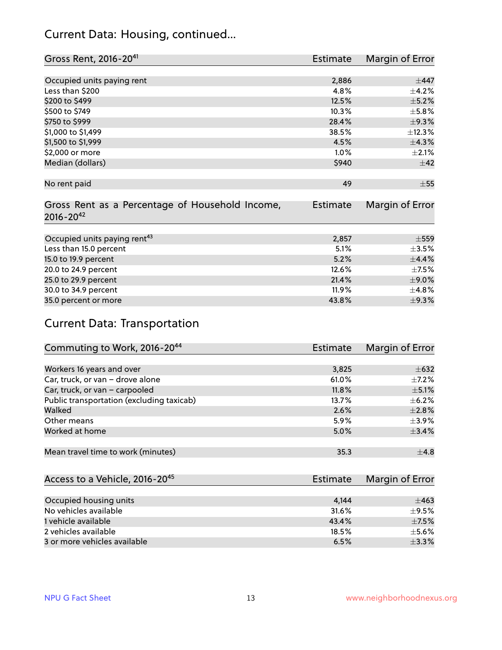#### Current Data: Housing, continued...

| Gross Rent, 2016-20 <sup>41</sup>               | <b>Estimate</b> | Margin of Error |
|-------------------------------------------------|-----------------|-----------------|
|                                                 |                 |                 |
| Occupied units paying rent                      | 2,886           | $\pm$ 447       |
| Less than \$200                                 | 4.8%            | $\pm$ 4.2%      |
| \$200 to \$499                                  | 12.5%           | $\pm$ 5.2%      |
| \$500 to \$749                                  | 10.3%           | $\pm$ 5.8%      |
| \$750 to \$999                                  | 28.4%           | ±9.3%           |
| \$1,000 to \$1,499                              | 38.5%           | ±12.3%          |
| \$1,500 to \$1,999                              | 4.5%            | ±4.3%           |
| \$2,000 or more                                 | 1.0%            | $\pm 2.1\%$     |
| Median (dollars)                                | \$940           | $\pm$ 42        |
|                                                 |                 |                 |
| No rent paid                                    | 49              | $\pm 55$        |
|                                                 |                 |                 |
| Gross Rent as a Percentage of Household Income, | <b>Estimate</b> | Margin of Error |
| $2016 - 20^{42}$                                |                 |                 |
|                                                 |                 |                 |
| Occupied units paying rent <sup>43</sup>        | 2,857           | $\pm$ 559       |
| Less than 15.0 percent                          | 5.1%            | $\pm$ 3.5%      |
| 15.0 to 19.9 percent                            | 5.2%            | $\pm$ 4.4%      |
| 20.0 to 24.9 percent                            | 12.6%           | $\pm$ 7.5%      |
| 25.0 to 29.9 percent                            | 21.4%           | $\pm$ 9.0%      |
| 30.0 to 34.9 percent                            | 11.9%           | ±4.8%           |
| 35.0 percent or more                            | 43.8%           | $\pm$ 9.3%      |

## Current Data: Transportation

| Commuting to Work, 2016-20 <sup>44</sup>  | <b>Estimate</b> | Margin of Error |
|-------------------------------------------|-----------------|-----------------|
|                                           |                 |                 |
| Workers 16 years and over                 | 3,825           | $\pm 632$       |
| Car, truck, or van - drove alone          | 61.0%           | $\pm$ 7.2%      |
| Car, truck, or van - carpooled            | 11.8%           | $\pm$ 5.1%      |
| Public transportation (excluding taxicab) | 13.7%           | $\pm$ 6.2%      |
| Walked                                    | 2.6%            | $\pm 2.8\%$     |
| Other means                               | 5.9%            | $\pm$ 3.9%      |
| Worked at home                            | 5.0%            | $\pm$ 3.4%      |
|                                           |                 |                 |
| Mean travel time to work (minutes)        | 35.3            | $\pm$ 4.8       |

| Access to a Vehicle, 2016-20 <sup>45</sup> | Estimate | Margin of Error |
|--------------------------------------------|----------|-----------------|
|                                            |          |                 |
| Occupied housing units                     | 4.144    | $\pm 463$       |
| No vehicles available                      | 31.6%    | $+9.5%$         |
| 1 vehicle available                        | 43.4%    | $\pm$ 7.5%      |
| 2 vehicles available                       | 18.5%    | $\pm$ 5.6%      |
| 3 or more vehicles available               | 6.5%     | $\pm$ 3.3%      |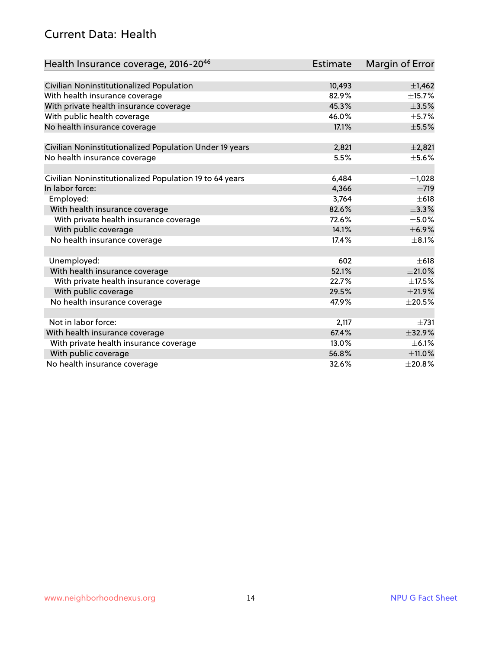#### Current Data: Health

| Health Insurance coverage, 2016-2046                    | <b>Estimate</b> | Margin of Error |
|---------------------------------------------------------|-----------------|-----------------|
|                                                         |                 |                 |
| Civilian Noninstitutionalized Population                | 10,493          | ±1,462          |
| With health insurance coverage                          | 82.9%           | $\pm$ 15.7%     |
| With private health insurance coverage                  | 45.3%           | $\pm$ 3.5%      |
| With public health coverage                             | 46.0%           | $\pm$ 5.7%      |
| No health insurance coverage                            | 17.1%           | $\pm$ 5.5%      |
| Civilian Noninstitutionalized Population Under 19 years | 2,821           | $\pm 2,821$     |
| No health insurance coverage                            | 5.5%            | $\pm$ 5.6%      |
|                                                         |                 |                 |
| Civilian Noninstitutionalized Population 19 to 64 years | 6,484           | $\pm$ 1,028     |
| In labor force:                                         | 4,366           | $\pm 719$       |
| Employed:                                               | 3,764           | $\pm 618$       |
| With health insurance coverage                          | 82.6%           | ±3.3%           |
| With private health insurance coverage                  | 72.6%           | $\pm$ 5.0%      |
| With public coverage                                    | 14.1%           | $\pm$ 6.9%      |
| No health insurance coverage                            | 17.4%           | $\pm$ 8.1%      |
|                                                         |                 |                 |
| Unemployed:                                             | 602             | $\pm 618$       |
| With health insurance coverage                          | 52.1%           | $\pm 21.0\%$    |
| With private health insurance coverage                  | 22.7%           | $\pm$ 17.5%     |
| With public coverage                                    | 29.5%           | $\pm 21.9\%$    |
| No health insurance coverage                            | 47.9%           | $\pm 20.5\%$    |
|                                                         |                 |                 |
| Not in labor force:                                     | 2,117           | $\pm 731$       |
| With health insurance coverage                          | 67.4%           | ±32.9%          |
| With private health insurance coverage                  | 13.0%           | $\pm$ 6.1%      |
| With public coverage                                    | 56.8%           | ±11.0%          |
| No health insurance coverage                            | 32.6%           | ±20.8%          |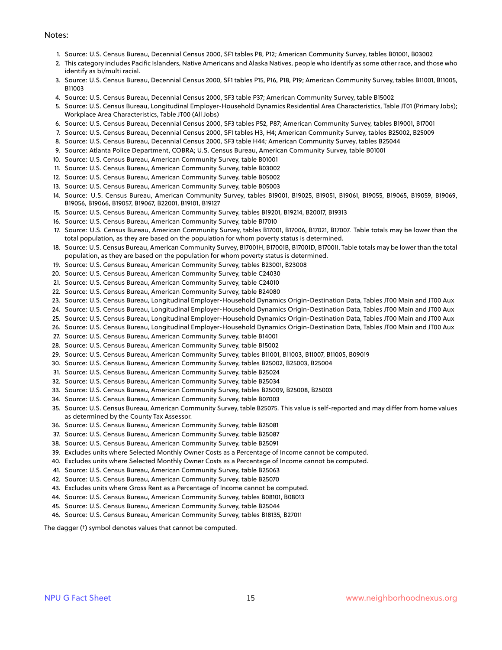#### Notes:

- 1. Source: U.S. Census Bureau, Decennial Census 2000, SF1 tables P8, P12; American Community Survey, tables B01001, B03002
- 2. This category includes Pacific Islanders, Native Americans and Alaska Natives, people who identify as some other race, and those who identify as bi/multi racial.
- 3. Source: U.S. Census Bureau, Decennial Census 2000, SF1 tables P15, P16, P18, P19; American Community Survey, tables B11001, B11005, B11003
- 4. Source: U.S. Census Bureau, Decennial Census 2000, SF3 table P37; American Community Survey, table B15002
- 5. Source: U.S. Census Bureau, Longitudinal Employer-Household Dynamics Residential Area Characteristics, Table JT01 (Primary Jobs); Workplace Area Characteristics, Table JT00 (All Jobs)
- 6. Source: U.S. Census Bureau, Decennial Census 2000, SF3 tables P52, P87; American Community Survey, tables B19001, B17001
- 7. Source: U.S. Census Bureau, Decennial Census 2000, SF1 tables H3, H4; American Community Survey, tables B25002, B25009
- 8. Source: U.S. Census Bureau, Decennial Census 2000, SF3 table H44; American Community Survey, tables B25044
- 9. Source: Atlanta Police Department, COBRA; U.S. Census Bureau, American Community Survey, table B01001
- 10. Source: U.S. Census Bureau, American Community Survey, table B01001
- 11. Source: U.S. Census Bureau, American Community Survey, table B03002
- 12. Source: U.S. Census Bureau, American Community Survey, table B05002
- 13. Source: U.S. Census Bureau, American Community Survey, table B05003
- 14. Source: U.S. Census Bureau, American Community Survey, tables B19001, B19025, B19051, B19061, B19055, B19065, B19059, B19069, B19056, B19066, B19057, B19067, B22001, B19101, B19127
- 15. Source: U.S. Census Bureau, American Community Survey, tables B19201, B19214, B20017, B19313
- 16. Source: U.S. Census Bureau, American Community Survey, table B17010
- 17. Source: U.S. Census Bureau, American Community Survey, tables B17001, B17006, B17021, B17007. Table totals may be lower than the total population, as they are based on the population for whom poverty status is determined.
- 18. Source: U.S. Census Bureau, American Community Survey, B17001H, B17001B, B17001D, B17001I. Table totals may be lower than the total population, as they are based on the population for whom poverty status is determined.
- 19. Source: U.S. Census Bureau, American Community Survey, tables B23001, B23008
- 20. Source: U.S. Census Bureau, American Community Survey, table C24030
- 21. Source: U.S. Census Bureau, American Community Survey, table C24010
- 22. Source: U.S. Census Bureau, American Community Survey, table B24080
- 23. Source: U.S. Census Bureau, Longitudinal Employer-Household Dynamics Origin-Destination Data, Tables JT00 Main and JT00 Aux
- 24. Source: U.S. Census Bureau, Longitudinal Employer-Household Dynamics Origin-Destination Data, Tables JT00 Main and JT00 Aux
- 25. Source: U.S. Census Bureau, Longitudinal Employer-Household Dynamics Origin-Destination Data, Tables JT00 Main and JT00 Aux
- 26. Source: U.S. Census Bureau, Longitudinal Employer-Household Dynamics Origin-Destination Data, Tables JT00 Main and JT00 Aux
- 27. Source: U.S. Census Bureau, American Community Survey, table B14001
- 28. Source: U.S. Census Bureau, American Community Survey, table B15002
- 29. Source: U.S. Census Bureau, American Community Survey, tables B11001, B11003, B11007, B11005, B09019
- 30. Source: U.S. Census Bureau, American Community Survey, tables B25002, B25003, B25004
- 31. Source: U.S. Census Bureau, American Community Survey, table B25024
- 32. Source: U.S. Census Bureau, American Community Survey, table B25034
- 33. Source: U.S. Census Bureau, American Community Survey, tables B25009, B25008, B25003
- 34. Source: U.S. Census Bureau, American Community Survey, table B07003
- 35. Source: U.S. Census Bureau, American Community Survey, table B25075. This value is self-reported and may differ from home values as determined by the County Tax Assessor.
- 36. Source: U.S. Census Bureau, American Community Survey, table B25081
- 37. Source: U.S. Census Bureau, American Community Survey, table B25087
- 38. Source: U.S. Census Bureau, American Community Survey, table B25091
- 39. Excludes units where Selected Monthly Owner Costs as a Percentage of Income cannot be computed.
- 40. Excludes units where Selected Monthly Owner Costs as a Percentage of Income cannot be computed.
- 41. Source: U.S. Census Bureau, American Community Survey, table B25063
- 42. Source: U.S. Census Bureau, American Community Survey, table B25070
- 43. Excludes units where Gross Rent as a Percentage of Income cannot be computed.
- 44. Source: U.S. Census Bureau, American Community Survey, tables B08101, B08013
- 45. Source: U.S. Census Bureau, American Community Survey, table B25044
- 46. Source: U.S. Census Bureau, American Community Survey, tables B18135, B27011

The dagger (†) symbol denotes values that cannot be computed.